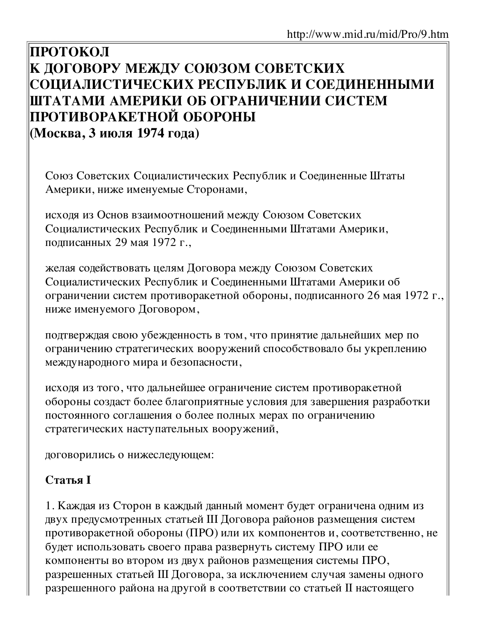# ПРОТОКОЛ К ДОГОВОРУ МЕЖДУ СОЮЗОМ СОВЕТСКИХ СОЦИАЛИСТИЧЕСКИХ РЕСПУБЛИК И СОЕДИНЕННЫМИ ШТАТАМИ АМЕРИКИ ОБ ОГРАНИЧЕНИИ СИСТЕМ ПРОТИВОРАКЕТНОЙ ОБОРОНЫ (Москва, 3 июля 1974 года)

Союз Советских Социалистических Республик и Соединенные Штаты Америки, ниже именуемые Сторонами,

исходя из Основ взаимоотношений между Союзом Советских Социалистических Республик и Соединенными Штатами Америки, подписанных 29 мая 1972 г.,

желая содействовать целям Договора между Союзом Советских Социалистических Республик и Соединенными Штатами Америки об ограничении систем противоракетной обороны, подписанного 26 мая 1972 г., ниже именуемого Договором,

подтверждая свою убежденность в том, что принятие дальнейших мер по ограничению стратегических вооружений способствовало бы укреплению международного мира и безопасности,

исходя из того, что дальнейшее ограничение систем противоракетной обороны создаст более благоприятные условия для завершения разработки постоянного соглашения о более полных мерах по ограничению стратегических наступательных вооружений,

договорились о нижеследующем:

### **Статья I**

1. Каждая из Сторон в каждый данный момент будет ограничена одним из двух предусмотренных статьей III Договора районов размещения систем противоракетной обороны (ПРО) или их компонентов и, соответственно, не будет использовать своего права развернуть систему ПРО или ее компоненты во втором из двух районов размещения системы ПРО, разрешенных статьей III Договора, за исключением случая замены одного разрешенного района на другой в соответствии со статьей II настоящего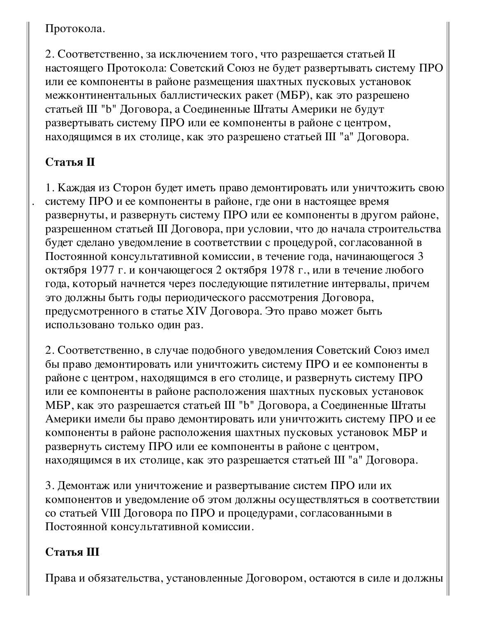### Протокола.

2. Соответственно, за исключением того, что разрешается статьей II настоящего Протокола: Советский Союз не будет развертывать систему ПРО или ее компоненты в районе размещения шахтных пусковых установок межконтинентальных баллистических ракет (МБР), как это разрешено статьей III "b" Договора, а Соединенные Штаты Америки не будут развертывать систему ПРО или ее компоненты в районе с центром, находящимся в их столице, как это разрешено статьей III "а" Договора.

# Статья П

1. Каждая из Сторон будет иметь право демонтировать или уничтожить свою систему ПРО и ее компоненты в районе, где они в настоящее время развернуты, и развернуть систему ПРО или ее компоненты в другом районе, разрешенном статьей III Договора, при условии, что до начала строительства будет сделано уведомление в соответствии с процедурой, согласованной в Постоянной консультативной комиссии, в течение года, начинающегося 3 октября 1977 г. и кончающегося 2 октября 1978 г., или в течение любого года, который начнется через последующие пятилетние интервалы, причем это должны быть годы периодического рассмотрения Договора, предусмотренного в статье XIV Договора. Это право может быть использовано только один раз.

2. Соответственно, в случае подобного уведомления Советский Союз имел бы право демонтировать или уничтожить систему ПРО и ее компоненты в районе с центром, находящимся в его столице, и развернуть систему ПРО или ее компоненты в районе расположения шахтных пусковых установок МБР, как это разрешается статьей III "b" Договора, а Соединенные Штаты Америки имели бы право демонтировать или уничтожить систему ПРО и ее компоненты в районе расположения шахтных пусковых установок МБР и развернуть систему ПРО или ее компоненты в районе с центром, находящимся в их столице, как это разрешается статьей III "а" Договора.

3. Демонтаж или уничтожение и развертывание систем ПРО или их компонентов и уведомление об этом должны осуществляться в соответствии со статьей VIII Договора по ПРО и процедурами, согласованными в Постоянной консультативной комиссии.

# Статья Ш

Права и обязательства, установленные Договором, остаются в силе и должны